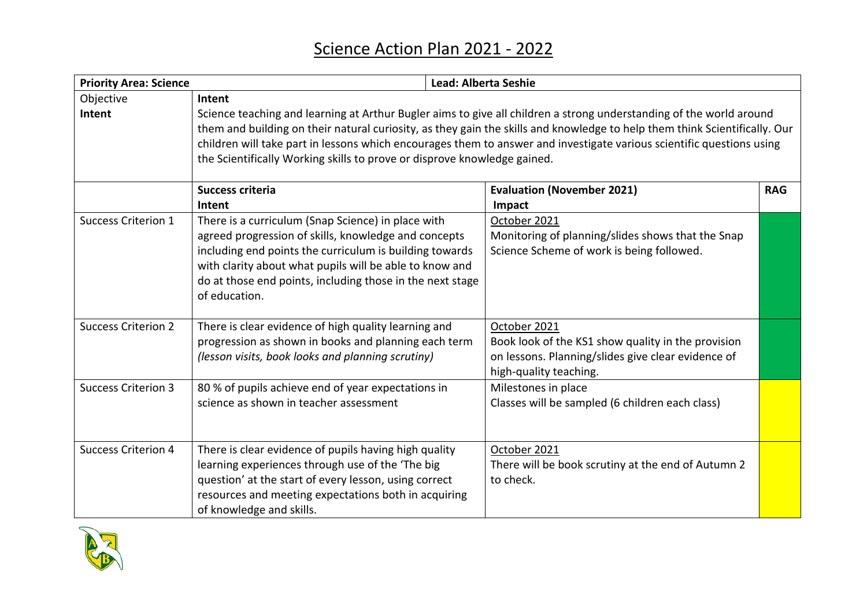| <b>Priority Area: Science</b> |                                                                                                                                                                                                                                                                                                                                                                                                                                                                  | <b>Lead: Alberta Seshie</b>                                                                                                                        |            |
|-------------------------------|------------------------------------------------------------------------------------------------------------------------------------------------------------------------------------------------------------------------------------------------------------------------------------------------------------------------------------------------------------------------------------------------------------------------------------------------------------------|----------------------------------------------------------------------------------------------------------------------------------------------------|------------|
| Objective<br>Intent           | Intent<br>Science teaching and learning at Arthur Bugler aims to give all children a strong understanding of the world around<br>them and building on their natural curiosity, as they gain the skills and knowledge to help them think Scientifically. Our<br>children will take part in lessons which encourages them to answer and investigate various scientific questions using<br>the Scientifically Working skills to prove or disprove knowledge gained. |                                                                                                                                                    |            |
|                               | <b>Success criteria</b>                                                                                                                                                                                                                                                                                                                                                                                                                                          | <b>Evaluation (November 2021)</b>                                                                                                                  | <b>RAG</b> |
|                               | Intent                                                                                                                                                                                                                                                                                                                                                                                                                                                           | Impact                                                                                                                                             |            |
| <b>Success Criterion 1</b>    | There is a curriculum (Snap Science) in place with<br>agreed progression of skills, knowledge and concepts<br>including end points the curriculum is building towards<br>with clarity about what pupils will be able to know and<br>do at those end points, including those in the next stage<br>of education.                                                                                                                                                   | October 2021<br>Monitoring of planning/slides shows that the Snap<br>Science Scheme of work is being followed.                                     |            |
| <b>Success Criterion 2</b>    | There is clear evidence of high quality learning and<br>progression as shown in books and planning each term<br>(lesson visits, book looks and planning scrutiny)                                                                                                                                                                                                                                                                                                | October 2021<br>Book look of the KS1 show quality in the provision<br>on lessons. Planning/slides give clear evidence of<br>high-quality teaching. |            |
| <b>Success Criterion 3</b>    | 80 % of pupils achieve end of year expectations in<br>science as shown in teacher assessment                                                                                                                                                                                                                                                                                                                                                                     | Milestones in place<br>Classes will be sampled (6 children each class)                                                                             |            |
| <b>Success Criterion 4</b>    | There is clear evidence of pupils having high quality<br>learning experiences through use of the 'The big<br>question' at the start of every lesson, using correct<br>resources and meeting expectations both in acquiring<br>of knowledge and skills.                                                                                                                                                                                                           | October 2021<br>There will be book scrutiny at the end of Autumn 2<br>to check.                                                                    |            |

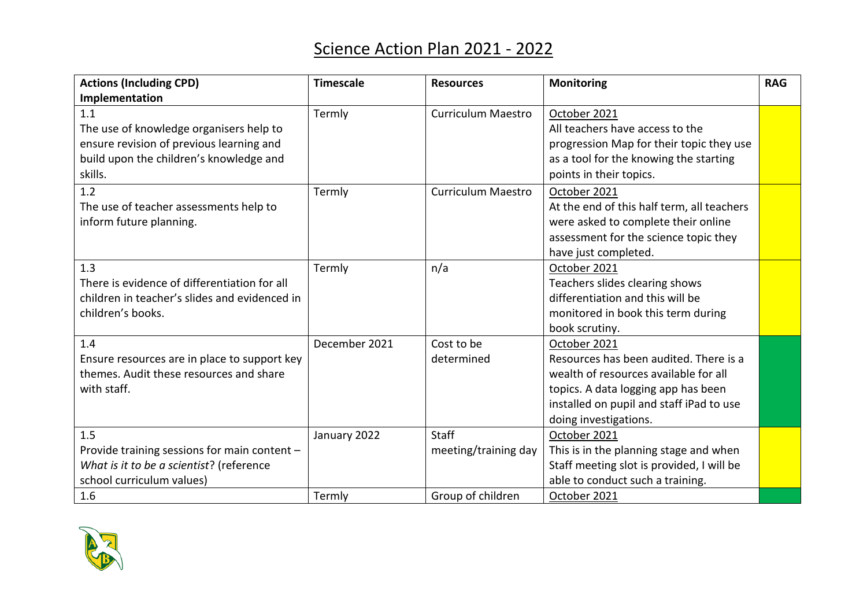## Science Action Plan 2021 - 2022

| <b>Actions (Including CPD)</b>                | <b>Timescale</b> | <b>Resources</b>          | Monitoring                                 | <b>RAG</b> |
|-----------------------------------------------|------------------|---------------------------|--------------------------------------------|------------|
| Implementation                                |                  |                           |                                            |            |
| 1.1                                           | Termly           | <b>Curriculum Maestro</b> | October 2021                               |            |
| The use of knowledge organisers help to       |                  |                           | All teachers have access to the            |            |
| ensure revision of previous learning and      |                  |                           | progression Map for their topic they use   |            |
| build upon the children's knowledge and       |                  |                           | as a tool for the knowing the starting     |            |
| skills.                                       |                  |                           | points in their topics.                    |            |
| 1.2                                           | Termly           | Curriculum Maestro        | October 2021                               |            |
| The use of teacher assessments help to        |                  |                           | At the end of this half term, all teachers |            |
| inform future planning.                       |                  |                           | were asked to complete their online        |            |
|                                               |                  |                           | assessment for the science topic they      |            |
|                                               |                  |                           | have just completed.                       |            |
| 1.3                                           | Termly           | n/a                       | October 2021                               |            |
| There is evidence of differentiation for all  |                  |                           | Teachers slides clearing shows             |            |
| children in teacher's slides and evidenced in |                  |                           | differentiation and this will be           |            |
| children's books.                             |                  |                           | monitored in book this term during         |            |
|                                               |                  |                           | book scrutiny.                             |            |
| 1.4                                           | December 2021    | Cost to be                | October 2021                               |            |
| Ensure resources are in place to support key  |                  | determined                | Resources has been audited. There is a     |            |
| themes. Audit these resources and share       |                  |                           | wealth of resources available for all      |            |
| with staff.                                   |                  |                           | topics. A data logging app has been        |            |
|                                               |                  |                           | installed on pupil and staff iPad to use   |            |
|                                               |                  |                           | doing investigations.                      |            |
| 1.5                                           | January 2022     | <b>Staff</b>              | October 2021                               |            |
| Provide training sessions for main content -  |                  | meeting/training day      | This is in the planning stage and when     |            |
| What is it to be a scientist? (reference      |                  |                           | Staff meeting slot is provided, I will be  |            |
| school curriculum values)                     |                  |                           | able to conduct such a training.           |            |
| 1.6                                           | Termly           | Group of children         | October 2021                               |            |

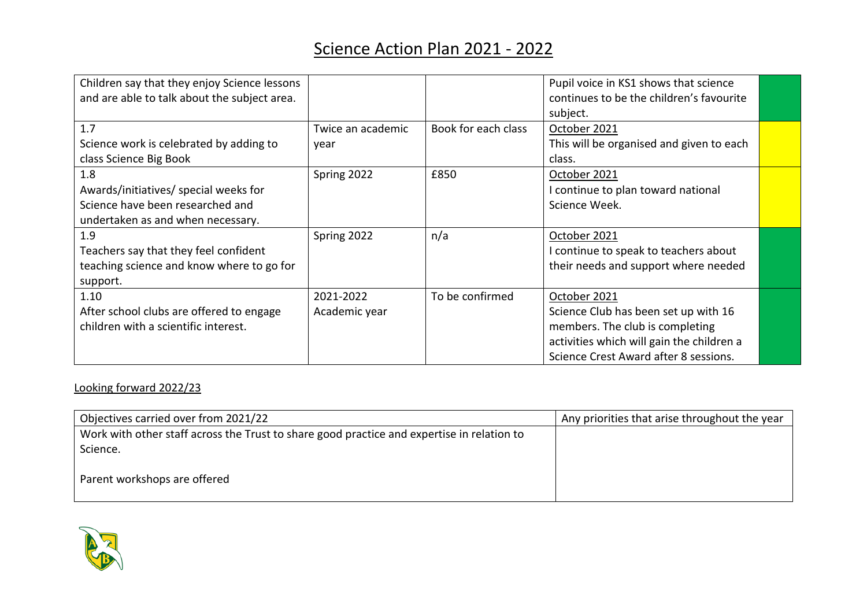## Science Action Plan 2021 - 2022

| Children say that they enjoy Science lessons<br>and are able to talk about the subject area. |                           |                     | Pupil voice in KS1 shows that science<br>continues to be the children's favourite<br>subject. |  |
|----------------------------------------------------------------------------------------------|---------------------------|---------------------|-----------------------------------------------------------------------------------------------|--|
| 1.7<br>Science work is celebrated by adding to                                               | Twice an academic<br>year | Book for each class | October 2021<br>This will be organised and given to each                                      |  |
| class Science Big Book                                                                       |                           |                     | class.                                                                                        |  |
| 1.8                                                                                          | Spring 2022               | £850                | October 2021                                                                                  |  |
| Awards/initiatives/ special weeks for                                                        |                           |                     | I continue to plan toward national                                                            |  |
| Science have been researched and                                                             |                           |                     | Science Week.                                                                                 |  |
| undertaken as and when necessary.                                                            |                           |                     |                                                                                               |  |
| 1.9                                                                                          | Spring 2022               | n/a                 | October 2021                                                                                  |  |
| Teachers say that they feel confident                                                        |                           |                     | I continue to speak to teachers about                                                         |  |
| teaching science and know where to go for                                                    |                           |                     | their needs and support where needed                                                          |  |
| support.                                                                                     |                           |                     |                                                                                               |  |
| 1.10                                                                                         | 2021-2022                 | To be confirmed     | October 2021                                                                                  |  |
| After school clubs are offered to engage                                                     | Academic year             |                     | Science Club has been set up with 16                                                          |  |
| children with a scientific interest.                                                         |                           |                     | members. The club is completing                                                               |  |
|                                                                                              |                           |                     | activities which will gain the children a                                                     |  |
|                                                                                              |                           |                     | Science Crest Award after 8 sessions.                                                         |  |

## Looking forward 2022/23

| Objectives carried over from 2021/22                                                       | Any priorities that arise throughout the year |
|--------------------------------------------------------------------------------------------|-----------------------------------------------|
| Work with other staff across the Trust to share good practice and expertise in relation to |                                               |
| Science.                                                                                   |                                               |
| Parent workshops are offered                                                               |                                               |